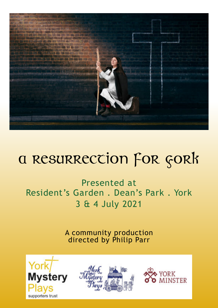

# a Resurrection for çork

Presented at Resident's Garden . Dean's Park . York 3 & 4 July 2021

> A community production directed by Philip Parr

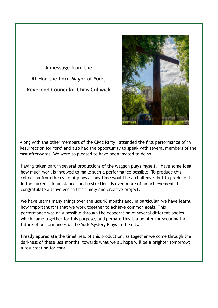**A message from the Rt Hon the Lord Mayor of York, Reverend Councillor Chris Cullwick**



Along with the other members of the Civic Party I attended the first performance of 'A Resurrection for York' and also had the opportunity to speak with several members of the cast afterwards. We were so pleased to have been invited to do so.

Having taken part in several productions of the waggon plays myself, I have some idea how much work is involved to make such a performance possible. To produce this collection from the cycle of plays at any time would be a challenge, but to produce it in the current circumstances and restrictions is even more of an achievement. I congratulate all involved in this timely and creative project.

We have learnt many things over the last 16 months and, in particular, we have learnt how important it is that we work together to achieve common goals. This performance was only possible through the cooperation of several different bodies, which came together for this purpose, and perhaps this is a pointer for securing the future of performances of the York Mystery Plays in the city.

I really appreciate the timeliness of this production, as together we come through the darkness of these last months, towards what we all hope will be a brighter tomorrow; a resurrection for York.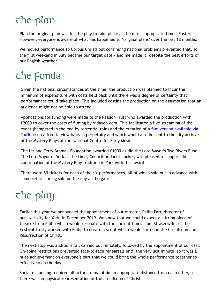# The plan

Plan the original plan was for the play to take place at the most appropriate time - Easter. However, everyone is aware of what has happened to 'original plans' over the last 18 months.

We moved performance to Corpus Christi but continuing national problems prevented that, so the first weekend in July became our target date - and me made it, despite the best efforts of our English weather!

# The funds

Given the national circumstances at the time, the production was planned to incur the minimum of expenditure with costs held back until there was a degree of certainty that performances could take place. This included costing the production on the assumption that an audience might not be able to attend.

Applications for funding were made to the Passion Trust who awarded the production with £2000 to cover the costs of filming by Vidaveo.com. This facilitated a live-streaming of the event (hampered in the end by torrential rain) and the creation of a [film version available via](https://youtu.be/8-h_FWwgaKQ) [YouTube](https://youtu.be/8-h_FWwgaKQ) on a free to view basis in perpetuity and which would also be sent to the city archive of the Mystery Plays at the National Centre for Early Music.

The Liz and Terry Bramall Foundation awarded £1000 as did the Lord Mayor's Two RIvers Fund. The Lord Mayor of York at the time, Councillor Janet Looker, was pleased to support the continuation of the Mystery Play tradition in York with this award.

There were 50 tickets for each of the six performances, all of which sold out in advance with some returns being sold on the day at the gate.

# The play

Earlier this year we announced the appointment of our director, Philip Parr, director of our 'Nativity for York' in December 2019. We knew that we could expect a stirring piece of theatre from Philip which would resonate with the current times. Tom Straszewski, of the Festival Trust, worked with Philip to create a script which would surround the Crucifixion and Resurrection of Christ.

The next stop was auditions, all carried out remotely, followed by the appointment of our cast. On-going restrictions prevented face-to-face rehearsals until the very last minute, so it was a huge achievement on everyone's part that we could bring the whole performance together so effectively on the day.

Social distancing required all actors to maintain an appropriate distance from each other, so there was no physical representation of the crucifixion of Christ.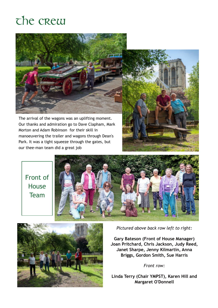# The crew



The arrival of the wagons was an uplifting moment. Our thanks and admiration go to Dave Clapham, Mark Morton and Adam Robinson for their skill in manoeuvering the trailer and wagons through Dean's Park. It was a tight squeeze through the gates, but our thee-man team did a great job



# Front of House Team





*Pictured above back row left to right:*

**Gary Bateson (Front of House Manager) Joan Pritchard, Chris Jackson, Judy Reed, Janet Sharpe, Jenny Kilmartin, Anna Briggs, Gordon Smith, Sue Harris**

*Front row:*

**Linda Terry (Chair YMPST), Karen Hill and Margaret O'Donnell**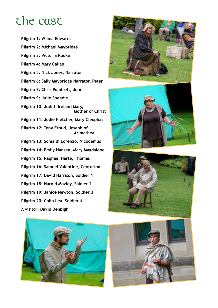# The cast

- **Pilgrim 1: Wilma Edwards**
- **Pilgrim 2: Michael Maybridge**
- **Pilgrim 3: Victoria Rooke**
- **Pilgrim 4: Mary Callan**
- **Pilgrim 5: Nick Jones, Narrator**
- **Pilgrim 6: Sally Maybridge Narrator, Peter**
- **Pilgrim 7: Chris Pomfrett, John**
- **Pilgrim 9: Julie Speedie**
- **Pilgrim 10: Judith Ireland Mary, Mother of Christ**
- **Pilgrim 11: Jodie Fletcher, Mary Cleophas**
- **Pilgrim 12: Tony Froud, Joseph of Arimathea**
- **Pilgrim 13: Sonia di Lorenzo, Nicodemus**
- **Pilgrim 14: Emily Hansen, Mary Magdalene**
- **Pilgrim 15: Raqhael Harte, Thomas**
- **Pilgrim 16: Samuel Valentine, Centurion**
- **Pilgrim 17: David Harrison, Soldier 1**
- **Pilgrim 18: Harold Mozley, Soldier 2**
- **Pilgrim 19: Janice Newton, Soldier 3**
- **Pilgrim 20: Colin Lea, Soldier 4**
- **A visitor: David Denbigh**









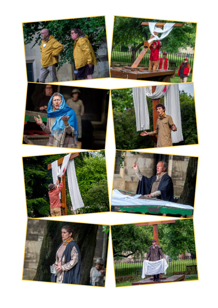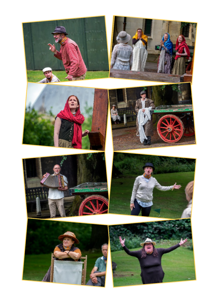